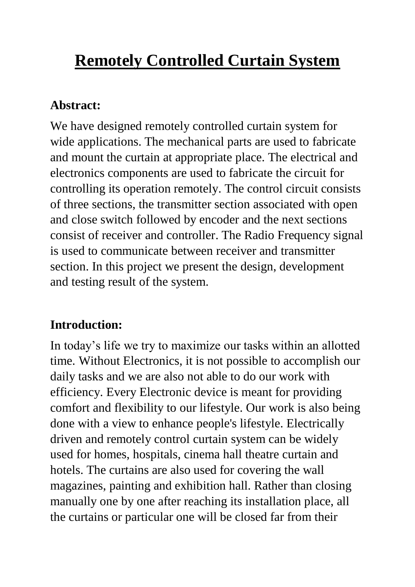# **Remotely Controlled Curtain System**

#### **Abstract:**

We have designed remotely controlled curtain system for wide applications. The mechanical parts are used to fabricate and mount the curtain at appropriate place. The electrical and electronics components are used to fabricate the circuit for controlling its operation remotely. The control circuit consists of three sections, the transmitter section associated with open and close switch followed by encoder and the next sections consist of receiver and controller. The Radio Frequency signal is used to communicate between receiver and transmitter section. In this project we present the design, development and testing result of the system.

## **Introduction:**

In today's life we try to maximize our tasks within an allotted time. Without Electronics, it is not possible to accomplish our daily tasks and we are also not able to do our work with efficiency. Every Electronic device is meant for providing comfort and flexibility to our lifestyle. Our work is also being done with a view to enhance people's lifestyle. Electrically driven and remotely control curtain system can be widely used for homes, hospitals, cinema hall theatre curtain and hotels. The curtains are also used for covering the wall magazines, painting and exhibition hall. Rather than closing manually one by one after reaching its installation place, all the curtains or particular one will be closed far from their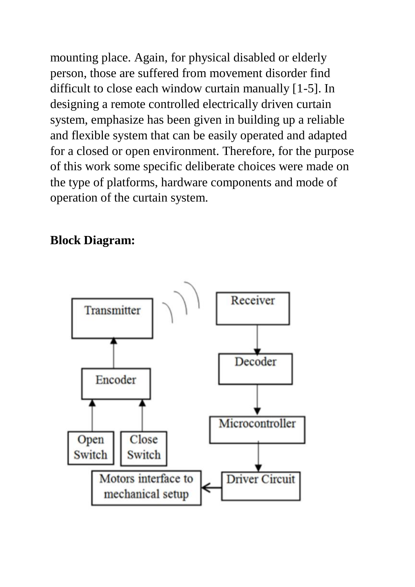mounting place. Again, for physical disabled or elderly person, those are suffered from movement disorder find difficult to close each window curtain manually [1-5]. In designing a remote controlled electrically driven curtain system, emphasize has been given in building up a reliable and flexible system that can be easily operated and adapted for a closed or open environment. Therefore, for the purpose of this work some specific deliberate choices were made on the type of platforms, hardware components and mode of operation of the curtain system.

#### **Block Diagram:**